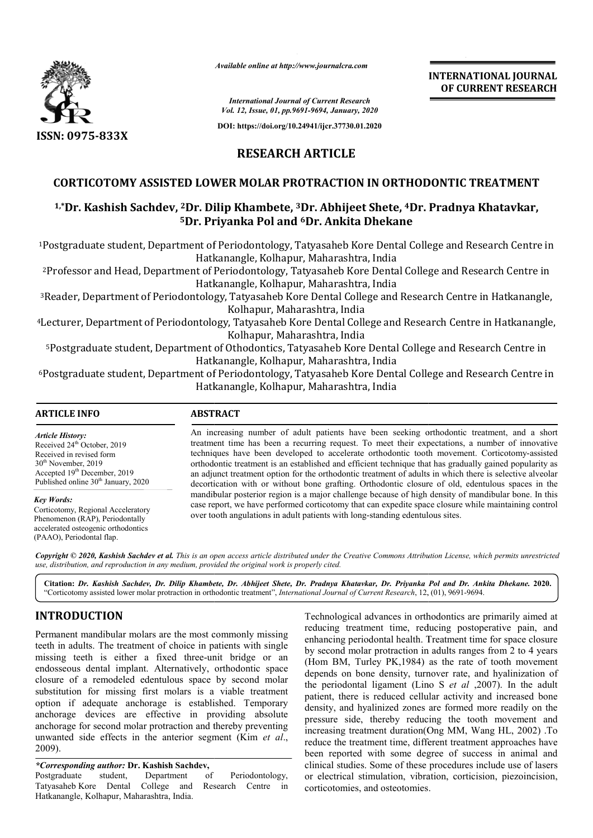

*Available online at http://www.journalcra.com*

**INTERNATIONAL JOURNAL OF CURRENT RESEARCH**

*International Journal of Current Research Vol. 12, Issue, 01, pp.9691-9694, January, 2020*

**DOI: https://doi.org/10.24941/ijcr.37730.01.2020**

# **RESEARCH ARTICLE**

## **CORTICOTOMY ASSISTED LOWER MOLAR PROTR PROTRACTION IN ORTHODONTIC TREATMENT**

# CORTICOTOMY ASSISTED LOWER MOLAR PROTRACTION IN ORTHODONTIC TREATMENT<br><sup>1,\*</sup>Dr. Kashish Sachdev, <sup>2</sup>Dr. Dilip Khambete, <sup>3</sup>Dr. Abhijeet Shete, <sup>4</sup>Dr. Pradnya Khatavkar, **5Dr. Priyanka Pol and Dr. 6Dr. Ankita Dhekane**

<sup>1</sup>Postgraduate student, Department of Periodontology, Tatyasaheb Kore Dental College and Research Centre in Hatkanangle, Kolhapur, Maharashtra, India

2Professor and Head, Department of Periodontology, Tatyasaheb Kore Dental College Kore College and Research Centre in Hatkanangle, Kolhapur, Maharashtra, India <sup>2</sup>Professor and Head, Department of Periodontology, Tatyasaheb Kore Dental College and Research Centre in<br>Hatkanangle, Kolhapur, Maharashtra, India<br><sup>3</sup>Reader, Department of Periodontology, Tatyasaheb Kore Dental College a

Kolhapur, Maharashtra, India

<sup>4</sup>Lecturer, Department of Periodontology, Tatyasaheb Kore Dental College and Research Centre in Hatkanangle, Kolhapur, Maharashtra, India h Centre in Hatkanangle,<br>ch Centre in Hatkanangle<br>and Research Centre in

5Postgraduate student, Department of Othodontics, Tatyasaheb Kore Dental College Hatkanangle, Kolhapur, Maharashtra, India <sup>5</sup>Postgraduate student, Department of Othodontics, Tatyasaheb Kore Dental College and Research Centre in<br>Hatkanangle, Kolhapur, Maharashtra, India<br><sup>6</sup>Postgraduate student, Department of Periodontology, Tatyasaheb Kore Den

Hatkanangle, Kolhapur, Maharashtra, India

| <b>ARTICLE INFO</b>                                                                                                                                                                                        | <b>ABSTRACT</b>                                                                                                                                                                                                                                                                                                                                                                                                                                                                                                                                                                                                                                                                                                                                                                                                                                                                                                              |
|------------------------------------------------------------------------------------------------------------------------------------------------------------------------------------------------------------|------------------------------------------------------------------------------------------------------------------------------------------------------------------------------------------------------------------------------------------------------------------------------------------------------------------------------------------------------------------------------------------------------------------------------------------------------------------------------------------------------------------------------------------------------------------------------------------------------------------------------------------------------------------------------------------------------------------------------------------------------------------------------------------------------------------------------------------------------------------------------------------------------------------------------|
| <b>Article History:</b><br>Received 24 <sup>th</sup> October, 2019<br>Received in revised form<br>$30th$ November, 2019<br>Accepted 19th December, 2019<br>Published online 30 <sup>th</sup> January, 2020 | An increasing number of adult patients have been seeking orthodontic treatment, and a short<br>treatment time has been a recurring request. To meet their expectations, a number of innovative<br>techniques have been developed to accelerate orthodontic tooth movement. Corticotomy-assisted<br>orthodontic treatment is an established and efficient technique that has gradually gained popularity as<br>an adjunct treatment option for the orthodontic treatment of adults in which there is selective alveolar<br>decortication with or without bone grafting. Orthodontic closure of old, edentulous spaces in the<br>mandibular posterior region is a major challenge because of high density of mandibular bone. In this<br>case report, we have performed corticotomy that can expedite space closure while maintaining control<br>over tooth angulations in adult patients with long-standing edentulous sites. |
| <b>Key Words:</b><br>Corticotomy, Regional Acceleratory<br>Phenomenon (RAP), Periodontally<br>accelerated osteogenic orthodontics<br>(PAAO), Periodontal flap.                                             |                                                                                                                                                                                                                                                                                                                                                                                                                                                                                                                                                                                                                                                                                                                                                                                                                                                                                                                              |

Copyright © 2020, Kashish Sachdev et al. This is an open access article distributed under the Creative Commons Attribution License, which permits unrestrictea *use, distribution, and reproduction in any medium, provided the original work is properly cited.*

**Citation:** *Dr. Kashish Sachdev, Dr. Dilip Khambete, Dr. Abhijeet Shete, Dr. Pradnya Khatavkar, Dr. Priyanka Pol and Dr. Ankita Dhekane Khambete, Abhijeet Shete, Dr. Pol Dhekane.* **2020.** "Corticotomy assisted lower molar protraction in orthodontic treatment", *International Journal of Current Research*, 12, (01), 9691-9694.

# **INTRODUCTION**

Permanent mandibular molars are the most commonly missing teeth in adults. The treatment of choice in patients with single missing teeth is either a fixed three-unit bridge or an endosseous dental implant. Alternatively, orthodontic space closure of a remodeled edentulous space by second molar substitution for missing first molars is a viable treatment option if adequate anchorage is established. Temporary anchorage devices are effective in providing absolute anchorage for second molar protraction and there unwanted side effects in the anterior segment (Kim *et al*., 2009). either a fixed three-unit bridge or an<br>implant. Alternatively, orthodontic space<br>deled edentulous space by second molar<br>issing first molars is a viable treatment<br>e anchorage is established. Temporary<br>s are effective in pro

*\*Corresponding author:* **Dr. Kashish Sachdev,**

Postgraduate student, Department of Periodontology, Tatyasaheb Kore Dental College and Research Centre in Hatkanangle, Kolhapur, Maharashtra, India.

Technological advances in orthodontics are primarily aimed at reducing treatment time, reducing postoperative pain, and enhancing periodontal health. Treatment time for space closure by second molar protraction in adults ranges from 2 to 4 years (Hom BM, Turley PK,1984) as the rate of tooth movement (Hom BM, Turley PK, 1984) as the rate of tooth movement depends on bone density, turnover rate, and hyalinization of the periodontal ligament (Lino S *et al* ,2007). In the adult patient, there is reduced cellular activity and increased bone density, and hyalinized zones are formed more readily on the pressure side, thereby reducing the tooth movement and increasing treatment duration(Ong MM, Wang HL, 2002) .To reduce the treatment time, different treatment approaches have been reported with some degree of success in animal and clinical studies. Some of these procedures include use of lasers or electrical stimulation, vibration, corticision, piezoincision, corticotomies, and osteotomies. reducing treatment time, reducing postoperative pain, and enhancing periodontal health. Treatment time for space closure by second molar protraction in adults ranges from 2 to 4 years **CHARG THE SEAL AND THE SEAL AND THE SEAL AND THE SEAL AND THE SEAL AND THE SEAL AND THE SEAL AND THE SEAL AND THE SEAL AND THE SEAL AND THE SEAL AND THE SEAL AND THE SEAL AND THE SEAL AND THE SEAL AND THE SEAL AND THE SEA**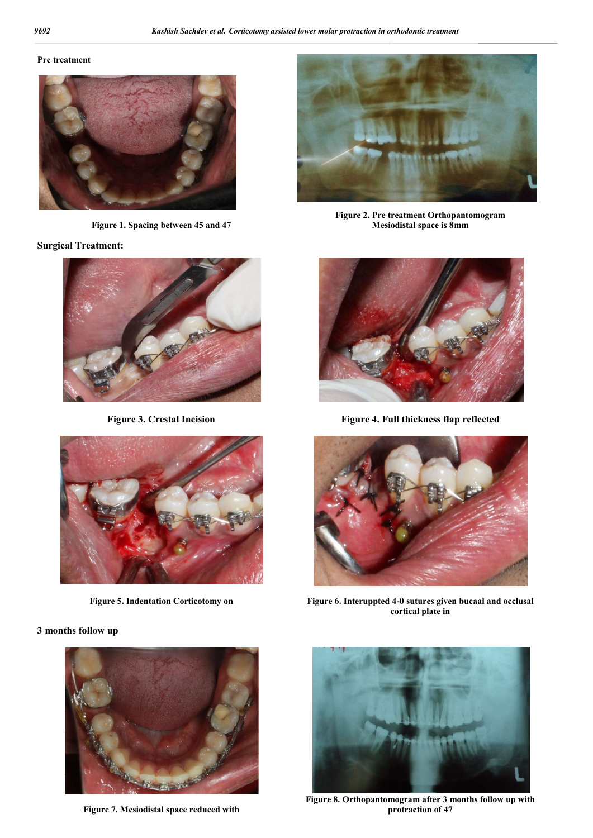#### **Pre treatment**



**Figure 1. Spacing between 45 and 47**

**Surgical Treatment:**

**3 months follow up**







**Figure 2. Pre treatment Orthopantomogram Mesiodistal space is 8mm**



**Figure 3. Crestal Incision Figure 4. Full thickness flap reflected**



**Figure 5. Indentation Corticotomy on Figure 6. Interuppted 4-0 sutures given bucaal and occlusal cortical plate in**



**Figure 7. Mesiodistal space reduced with**



**Figure 8. Orthopantomogram after 3 months follow up with protraction of 47**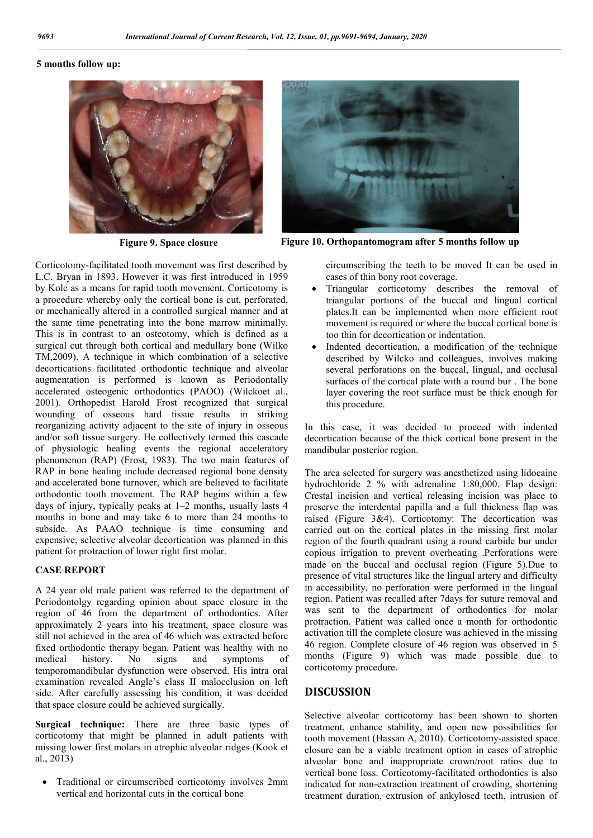#### **5 months follow up:**



Corticotomy-facilitated tooth movement was first described by L.C. Bryan in 1893. However it was first introduced in 1959 by Kole as a means for rapid tooth movement. Corticotomy is a procedure whereby only the cortical bone is cut, perforated, or mechanically altered in a controlled surgical manner and at the same time penetrating into the bone marrow minimally. This is in contrast to an osteotomy, which is defined as a surgical cut through both cortical and medullary bone (Wilko TM,2009). A technique in which combination of a selective decortications facilitated orthodontic technique and alveolar augmentation is performed is known as Periodontally accelerated osteogenic orthodontics (PAOO) (Wilckoet al., 2001). Orthopedist Harold Frost recognized that surgical wounding of osseous hard tissue results in striking reorganizing activity adjacent to the site of injury in osseous and/or soft tissue surgery. He collectively termed this cascade of physiologic healing events the regional acceleratory phenomenon (RAP) (Frost, 1983). The two main features of RAP in bone healing include decreased regional bone density and accelerated bone turnover, which are believed to facilitate orthodontic tooth movement. The RAP begins within a few days of injury, typically peaks at 1–2 months, usually lasts 4 months in bone and may take 6 to more than 24 months to subside. As PAAO technique is time consuming and expensive, selective alveolar decortication was planned in this patient for protraction of lower right first molar.

#### **CASE REPORT**

A 24 year old male patient was referred to the department of Periodontolgy regarding opinion about space closure in the region of 46 from the department of orthodontics. After approximately 2 years into his treatment, space closure was still not achieved in the area of 46 which was extracted before fixed orthodontic therapy began. Patient was healthy with no medical history. No signs and symptoms of temporomandibular dysfunction were observed. His intra oral examination revealed Angle's class II malocclusion on left side. After carefully assessing his condition, it was decided that space closure could be achieved surgically.

**Surgical technique:** There are three basic types of corticotomy that might be planned in adult patients with missing lower first molars in atrophic alveolar ridges (Kook et al., 2013)

 Traditional or circumscribed corticotomy involves 2mm vertical and horizontal cuts in the cortical bone



**Figure 9. Space closure Figure 10. Orthopantomogram after 5 months follow up**

circumscribing the teeth to be moved It can be used in cases of thin bony root coverage.

- Triangular corticotomy describes the removal of triangular portions of the buccal and lingual cortical plates.It can be implemented when more efficient root movement is required or where the buccal cortical bone is too thin for decortication or indentation.
- Indented decortication, a modification of the technique described by Wilcko and colleagues, involves making several perforations on the buccal, lingual, and occlusal surfaces of the cortical plate with a round bur . The bone layer covering the root surface must be thick enough for this procedure.

In this case, it was decided to proceed with indented decortication because of the thick cortical bone present in the mandibular posterior region.

The area selected for surgery was anesthetized using lidocaine hydrochloride 2 % with adrenaline 1:80,000. Flap design: Crestal incision and vertical releasing incision was place to preserve the interdental papilla and a full thickness flap was raised (Figure 3&4). Corticotomy: The decortication was carried out on the cortical plates in the missing first molar region of the fourth quadrant using a round carbide bur under copious irrigation to prevent overheating .Perforations were made on the buccal and occlusal region (Figure 5).Due to presence of vital structures like the lingual artery and difficulty in accessibility, no perforation were performed in the lingual region. Patient was recalled after 7days for suture removal and was sent to the department of orthodontics for molar protraction. Patient was called once a month for orthodontic activation till the complete closure was achieved in the missing 46 region. Complete closure of 46 region was observed in 5 months (Figure 9) which was made possible due to corticotomy procedure.

## **DISCUSSION**

Selective alveolar corticotomy has been shown to shorten treatment, enhance stability, and open new possibilities for tooth movement (Hassan A, 2010). Corticotomy-assisted space closure can be a viable treatment option in cases of atrophic alveolar bone and inappropriate crown/root ratios due to vertical bone loss. Corticotomy-facilitated orthodontics is also indicated for non-extraction treatment of crowding, shortening treatment duration, extrusion of ankylosed teeth, intrusion of